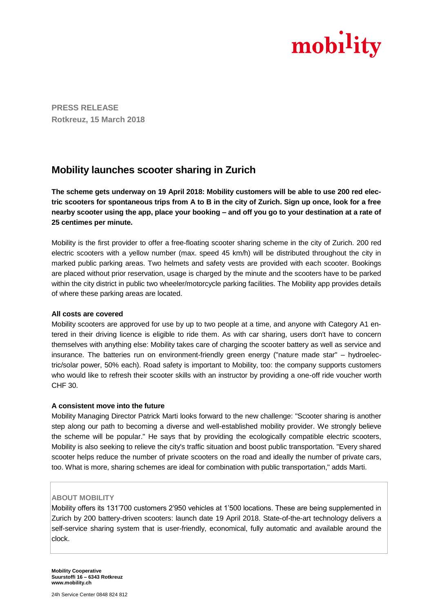

**PRESS RELEASE Rotkreuz, 15 March 2018**

# **Mobility launches scooter sharing in Zurich**

**The scheme gets underway on 19 April 2018: Mobility customers will be able to use 200 red electric scooters for spontaneous trips from A to B in the city of Zurich. Sign up once, look for a free nearby scooter using the app, place your booking – and off you go to your destination at a rate of 25 centimes per minute.**

Mobility is the first provider to offer a free-floating scooter sharing scheme in the city of Zurich. 200 red electric scooters with a yellow number (max. speed 45 km/h) will be distributed throughout the city in marked public parking areas. Two helmets and safety vests are provided with each scooter. Bookings are placed without prior reservation, usage is charged by the minute and the scooters have to be parked within the city district in public two wheeler/motorcycle parking facilities. The Mobility app provides details of where these parking areas are located.

### **All costs are covered**

Mobility scooters are approved for use by up to two people at a time, and anyone with Category A1 entered in their driving licence is eligible to ride them. As with car sharing, users don't have to concern themselves with anything else: Mobility takes care of charging the scooter battery as well as service and insurance. The batteries run on environment-friendly green energy ("nature made star" – hydroelectric/solar power, 50% each). Road safety is important to Mobility, too: the company supports customers who would like to refresh their scooter skills with an instructor by providing a one-off ride voucher worth CHF 30.

### **A consistent move into the future**

Mobility Managing Director Patrick Marti looks forward to the new challenge: "Scooter sharing is another step along our path to becoming a diverse and well-established mobility provider. We strongly believe the scheme will be popular." He says that by providing the ecologically compatible electric scooters, Mobility is also seeking to relieve the city's traffic situation and boost public transportation. "Every shared scooter helps reduce the number of private scooters on the road and ideally the number of private cars, too. What is more, sharing schemes are ideal for combination with public transportation," adds Marti.

### **ABOUT MOBILITY**

Mobility offers its 131'700 customers 2'950 vehicles at 1'500 locations. These are being supplemented in Zurich by 200 battery-driven scooters: launch date 19 April 2018. State-of-the-art technology delivers a self-service sharing system that is user-friendly, economical, fully automatic and available around the clock.

**Mobility Cooperative Suurstoffi 16 – 6343 Rotkreuz www.mobility.ch**